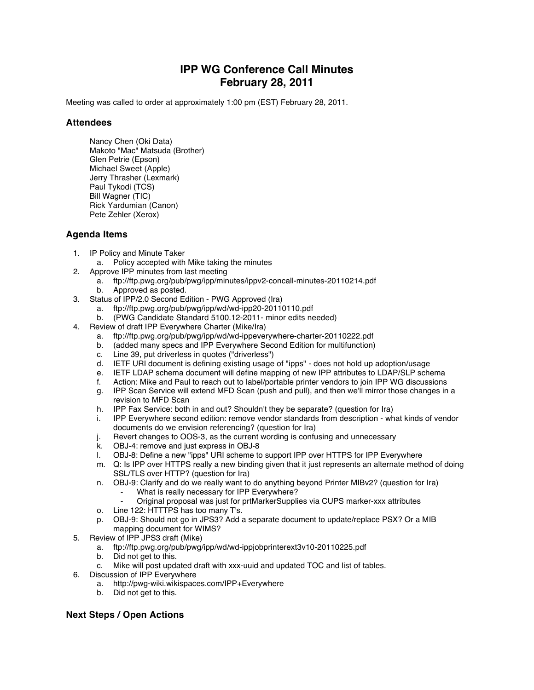## **IPP WG Conference Call Minutes February 28, 2011**

Meeting was called to order at approximately 1:00 pm (EST) February 28, 2011.

## **Attendees**

Nancy Chen (Oki Data) Makoto "Mac" Matsuda (Brother) Glen Petrie (Epson) Michael Sweet (Apple) Jerry Thrasher (Lexmark) Paul Tykodi (TCS) Bill Wagner (TIC) Rick Yardumian (Canon) Pete Zehler (Xerox)

## **Agenda Items**

- 1. IP Policy and Minute Taker
	- a. Policy accepted with Mike taking the minutes
- 2. Approve IPP minutes from last meeting
	- a. ftp://ftp.pwg.org/pub/pwg/ipp/minutes/ippv2-concall-minutes-20110214.pdf b. Approved as posted.
- 3. Status of IPP/2.0 Second Edition PWG Approved (Ira)
	- a. ftp://ftp.pwg.org/pub/pwg/ipp/wd/wd-ipp20-20110110.pdf
	- b. (PWG Candidate Standard 5100.12-2011- minor edits needed)
- 4. Review of draft IPP Everywhere Charter (Mike/Ira)
	- a. ftp://ftp.pwg.org/pub/pwg/ipp/wd/wd-ippeverywhere-charter-20110222.pdf
	- b. (added many specs and IPP Everywhere Second Edition for multifunction)
	- c. Line 39, put driverless in quotes ("driverless")<br>d. IETF URI document is defining existing usage
	- d. IETF URI document is defining existing usage of "ipps" does not hold up adoption/usage
	- e. IETF LDAP schema document will define mapping of new IPP attributes to LDAP/SLP schema
	- f. Action: Mike and Paul to reach out to label/portable printer vendors to join IPP WG discussions
	- g. IPP Scan Service will extend MFD Scan (push and pull), and then we'll mirror those changes in a revision to MFD Scan
	- h. IPP Fax Service: both in and out? Shouldn't they be separate? (question for Ira)
	- i. IPP Everywhere second edition: remove vendor standards from description what kinds of vendor documents do we envision referencing? (question for Ira)
	- j. Revert changes to OOS-3, as the current wording is confusing and unnecessary
	- k. OBJ-4: remove and just express in OBJ-8
	- l. OBJ-8: Define a new "ipps" URI scheme to support IPP over HTTPS for IPP Everywhere
	- m. Q: Is IPP over HTTPS really a new binding given that it just represents an alternate method of doing SSL/TLS over HTTP? (question for Ira)
	- n. OBJ-9: Clarify and do we really want to do anything beyond Printer MIBv2? (question for Ira)
		- What is really necessary for IPP Everywhere?
		- ⁃ Original proposal was just for prtMarkerSupplies via CUPS marker-xxx attributes
	- o. Line 122: HTTTPS has too many T's.
	- p. OBJ-9: Should not go in JPS3? Add a separate document to update/replace PSX? Or a MIB mapping document for WIMS?
- 5. Review of IPP JPS3 draft (Mike)
	- a. ftp://ftp.pwg.org/pub/pwg/ipp/wd/wd-ippjobprinterext3v10-20110225.pdf
	- b. Did not get to this.<br>c. Mike will post upda
	- Mike will post updated draft with xxx-uuid and updated TOC and list of tables.
- 6. Discussion of IPP Everywhere
	- a. http://pwg-wiki.wikispaces.com/IPP+Everywhere
	- b. Did not get to this.

## **Next Steps / Open Actions**